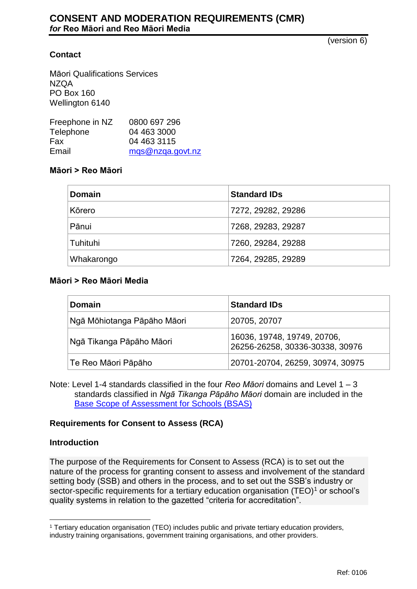(version 6)

# **Contact**

Māori Qualifications Services NZQA PO Box 160 Wellington 6140

| Freephone in NZ | 0800 697 296     |
|-----------------|------------------|
| Telephone       | 04 463 3000      |
| <b>Fax</b>      | 04 463 3115      |
| Email           | mgs@nzga.govt.nz |
|                 |                  |

### **Māori > Reo Māori**

| <b>Domain</b> | <b>Standard IDs</b> |
|---------------|---------------------|
| Kōrero        | 7272, 29282, 29286  |
| Pānui         | 7268, 29283, 29287  |
| Tuhituhi      | 7260, 29284, 29288  |
| Whakarongo    | 7264, 29285, 29289  |

### **Māori > Reo Māori Media**

| <b>Domain</b>               | <b>Standard IDs</b>                                            |
|-----------------------------|----------------------------------------------------------------|
| Ngā Mōhiotanga Pāpāho Māori | 20705, 20707                                                   |
| Ngā Tikanga Pāpāho Māori    | 16036, 19748, 19749, 20706,<br>26256-26258, 30336-30338, 30976 |
| Te Reo Māori Pāpāho         | 20701-20704, 26259, 30974, 30975                               |

Note: Level 1-4 standards classified in the four *Reo Māori* domains and Level 1 – 3 standards classified in *Ngā Tikanga Pāpāho Māori* domain are included in the [Base Scope of Assessment for Schools \(BSAS\)](http://www.nzqa.govt.nz/providers-partners/assessment-and-moderation/cmrs/base-scope-of-assessment-for-schools-bsas/)

### **Requirements for Consent to Assess (RCA)**

### **Introduction**

The purpose of the Requirements for Consent to Assess (RCA) is to set out the nature of the process for granting consent to assess and involvement of the standard setting body (SSB) and others in the process, and to set out the SSB's industry or sector-specific requirements for a tertiary education organisation  $(TEO)^1$  or school's quality systems in relation to the gazetted "criteria for accreditation".

 $\overline{a}$ <sup>1</sup> Tertiary education organisation (TEO) includes public and private tertiary education providers, industry training organisations, government training organisations, and other providers.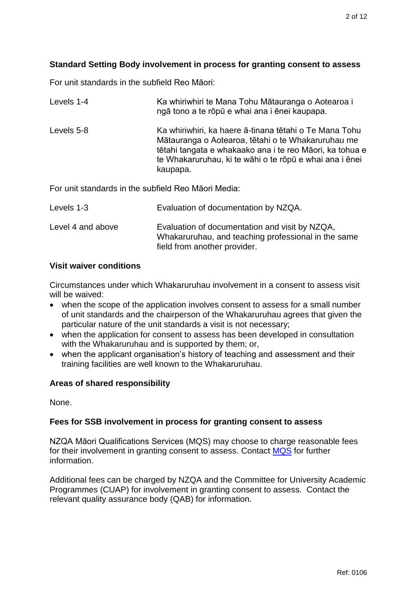# **Standard Setting Body involvement in process for granting consent to assess**

For unit standards in the subfield Reo Māori:

| Levels 1-4                                          | Ka whiriwhiri te Mana Tohu Mātauranga o Aotearoa i<br>ngā tono a te rōpū e whai ana i ēnei kaupapa.                                                                                                                                             |  |
|-----------------------------------------------------|-------------------------------------------------------------------------------------------------------------------------------------------------------------------------------------------------------------------------------------------------|--|
| Levels 5-8                                          | Ka whiriwhiri, ka haere ā-tinana tētahi o Te Mana Tohu<br>Mātauranga o Aotearoa, tētahi o te Whakaruruhau me<br>tētahi tangata e whakaako ana i te reo Māori, ka tohua e<br>te Whakaruruhau, ki te wāhi o te rōpū e whai ana i ēnei<br>kaupapa. |  |
| For unit standards in the subfield Reo Maori Media: |                                                                                                                                                                                                                                                 |  |
| Levels 1-3                                          | Evaluation of documentation by NZQA.                                                                                                                                                                                                            |  |
| Level 4 and above                                   | Evaluation of documentation and visit by NZQA,<br>Whakaruruhau, and teaching professional in the same                                                                                                                                           |  |

## **Visit waiver conditions**

Circumstances under which Whakaruruhau involvement in a consent to assess visit will be waived:

field from another provider.

- when the scope of the application involves consent to assess for a small number of unit standards and the chairperson of the Whakaruruhau agrees that given the particular nature of the unit standards a visit is not necessary;
- when the application for consent to assess has been developed in consultation with the Whakaruruhau and is supported by them; or,
- when the applicant organisation's history of teaching and assessment and their training facilities are well known to the Whakaruruhau.

# **Areas of shared responsibility**

None.

# **Fees for SSB involvement in process for granting consent to assess**

NZQA Māori Qualifications Services (MQS) may choose to charge reasonable fees for their involvement in granting consent to assess. Contact [MQS](mailto:mqs@nzqa.govt.nz) for further information.

Additional fees can be charged by NZQA and the Committee for University Academic Programmes (CUAP) for involvement in granting consent to assess. Contact the relevant quality assurance body (QAB) for information.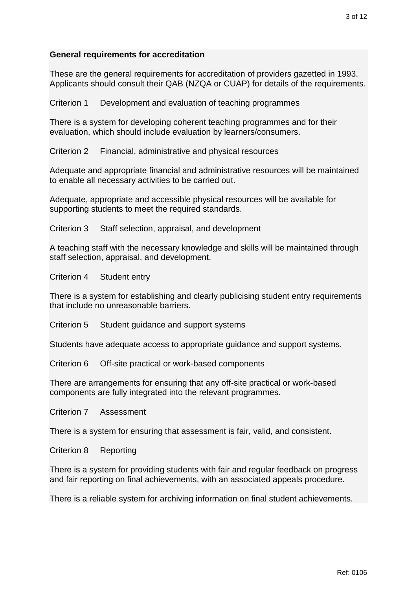## **General requirements for accreditation**

These are the general requirements for accreditation of providers gazetted in 1993. Applicants should consult their QAB (NZQA or CUAP) for details of the requirements.

Criterion 1 Development and evaluation of teaching programmes

There is a system for developing coherent teaching programmes and for their evaluation, which should include evaluation by learners/consumers.

Criterion 2 Financial, administrative and physical resources

Adequate and appropriate financial and administrative resources will be maintained to enable all necessary activities to be carried out.

Adequate, appropriate and accessible physical resources will be available for supporting students to meet the required standards.

Criterion 3 Staff selection, appraisal, and development

A teaching staff with the necessary knowledge and skills will be maintained through staff selection, appraisal, and development.

Criterion 4 Student entry

There is a system for establishing and clearly publicising student entry requirements that include no unreasonable barriers.

Criterion 5 Student guidance and support systems

Students have adequate access to appropriate guidance and support systems.

Criterion 6 Off-site practical or work-based components

There are arrangements for ensuring that any off-site practical or work-based components are fully integrated into the relevant programmes.

Criterion 7 Assessment

There is a system for ensuring that assessment is fair, valid, and consistent.

Criterion 8 Reporting

There is a system for providing students with fair and regular feedback on progress and fair reporting on final achievements, with an associated appeals procedure.

There is a reliable system for archiving information on final student achievements.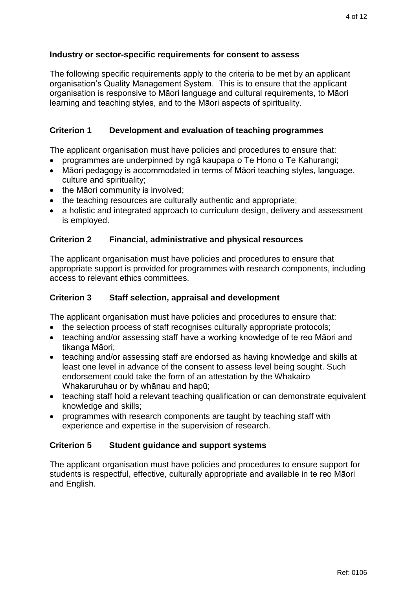## **Industry or sector-specific requirements for consent to assess**

The following specific requirements apply to the criteria to be met by an applicant organisation's Quality Management System. This is to ensure that the applicant organisation is responsive to Māori language and cultural requirements, to Māori learning and teaching styles, and to the Māori aspects of spirituality.

## **Criterion 1 Development and evaluation of teaching programmes**

The applicant organisation must have policies and procedures to ensure that:

- programmes are underpinned by ngā kaupapa o Te Hono o Te Kahurangi;
- Māori pedagogy is accommodated in terms of Māori teaching styles, language, culture and spirituality;
- the Māori community is involved;
- the teaching resources are culturally authentic and appropriate;
- a holistic and integrated approach to curriculum design, delivery and assessment is employed.

## **Criterion 2 Financial, administrative and physical resources**

The applicant organisation must have policies and procedures to ensure that appropriate support is provided for programmes with research components, including access to relevant ethics committees.

## **Criterion 3 Staff selection, appraisal and development**

The applicant organisation must have policies and procedures to ensure that:

- the selection process of staff recognises culturally appropriate protocols;
- teaching and/or assessing staff have a working knowledge of te reo Māori and tikanga Māori;
- teaching and/or assessing staff are endorsed as having knowledge and skills at least one level in advance of the consent to assess level being sought. Such endorsement could take the form of an attestation by the Whakairo Whakaruruhau or by whānau and hapū;
- teaching staff hold a relevant teaching qualification or can demonstrate equivalent knowledge and skills;
- programmes with research components are taught by teaching staff with experience and expertise in the supervision of research.

### **Criterion 5 Student guidance and support systems**

The applicant organisation must have policies and procedures to ensure support for students is respectful, effective, culturally appropriate and available in te reo Māori and English.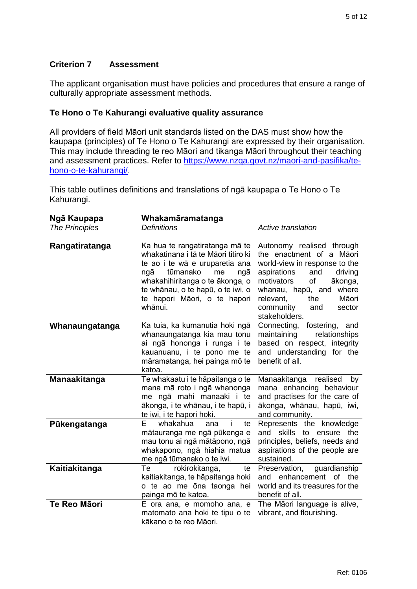# **Criterion 7 Assessment**

The applicant organisation must have policies and procedures that ensure a range of culturally appropriate assessment methods.

# **Te Hono o Te Kahurangi evaluative quality assurance**

All providers of field Māori unit standards listed on the DAS must show how the kaupapa (principles) of Te Hono o Te Kahurangi are expressed by their organisation. This may include threading te reo Māori and tikanga Māori throughout their teaching and assessment practices. Refer to [https://www.nzqa.govt.nz/maori-and-pasifika/te](https://www.nzqa.govt.nz/maori-and-pasifika/te-hono-o-te-kahurangi/)[hono-o-te-kahurangi/.](https://www.nzqa.govt.nz/maori-and-pasifika/te-hono-o-te-kahurangi/)

This table outlines definitions and translations of ngā kaupapa o Te Hono o Te Kahurangi.

| Ngā Kaupapa<br><b>The Principles</b> | Whakamāramatanga<br><b>Definitions</b>                                                                                                                                                                                                                     | <b>Active translation</b>                                                                                                                                                                                                                                        |
|--------------------------------------|------------------------------------------------------------------------------------------------------------------------------------------------------------------------------------------------------------------------------------------------------------|------------------------------------------------------------------------------------------------------------------------------------------------------------------------------------------------------------------------------------------------------------------|
| Rangatiratanga                       | Ka hua te rangatiratanga mā te<br>whakatinana i tā te Māori titiro ki<br>te ao i te wā e uruparetia ana<br>tūmanako<br>me<br>ngā<br>ngā<br>whakahihiritanga o te ākonga, o<br>te whānau, o te hapū, o te iwi, o<br>te hapori Māori, o te hapori<br>whānui. | Autonomy realised through<br>the enactment of a Māori<br>world-view in response to the<br>driving<br>aspirations<br>and<br>of<br>motivators<br>ākonga,<br>where<br>whanau, hapū, and<br>Māori<br>relevant,<br>the<br>community<br>and<br>sector<br>stakeholders. |
| Whanaungatanga                       | Ka tuia, ka kumanutia hoki ngā<br>whanaungatanga kia mau tonu<br>ai ngā hononga i runga i te<br>kauanuanu, i te pono me te<br>māramatanga, hei painga mō te<br>katoa.                                                                                      | Connecting,<br>fostering,<br>and<br>maintaining<br>relationships<br>based on respect, integrity<br>and understanding<br>for the<br>benefit of all.                                                                                                               |
| <b>Manaakitanga</b>                  | Te whakaatu i te hāpaitanga o te<br>mana mā roto i ngā whanonga<br>me ngā mahi manaaki i te<br>ākonga, i te whānau, i te hapū, i<br>te iwi, i te hapori hoki.                                                                                              | Manaakitanga<br>realised<br>by<br>mana enhancing behaviour<br>and practises for the care of<br>ākonga, whānau, hapū, iwi,<br>and community.                                                                                                                      |
| Pūkengatanga                         | E<br>whakahua<br>ana<br>te<br>mātauranga me ngā pūkenga e<br>mau tonu ai ngā mātāpono, ngā<br>whakapono, ngā hiahia matua<br>me ngā tūmanako o te iwi.                                                                                                     | Represents the knowledge<br>skills<br>to<br>the<br>and<br>ensure<br>principles, beliefs, needs and<br>aspirations of the people are<br>sustained.                                                                                                                |
| Kaitiakitanga                        | rokirokitanga,<br>Te<br>te<br>kaitiakitanga, te hāpaitanga hoki<br>o te ao me ōna taonga hei<br>painga mō te katoa.                                                                                                                                        | Preservation,<br>guardianship<br>and enhancement<br>of the<br>world and its treasures for the<br>benefit of all.                                                                                                                                                 |
| <b>Te Reo Māori</b>                  | E ora ana, e momoho ana, e<br>matomato ana hoki te tipu o te<br>kākano o te reo Māori.                                                                                                                                                                     | The Māori language is alive,<br>vibrant, and flourishing.                                                                                                                                                                                                        |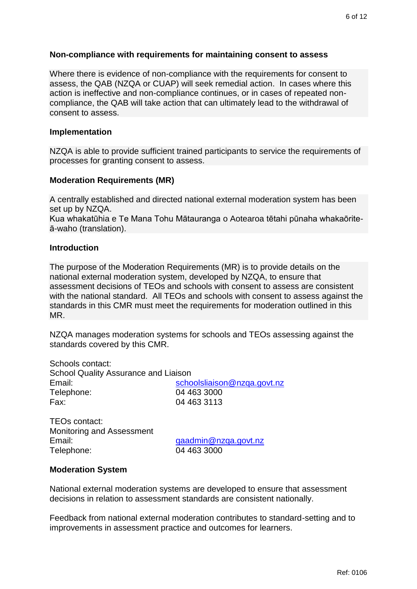#### **Non-compliance with requirements for maintaining consent to assess**

Where there is evidence of non-compliance with the requirements for consent to assess, the QAB (NZQA or CUAP) will seek remedial action. In cases where this action is ineffective and non-compliance continues, or in cases of repeated noncompliance, the QAB will take action that can ultimately lead to the withdrawal of consent to assess.

#### **Implementation**

NZQA is able to provide sufficient trained participants to service the requirements of processes for granting consent to assess.

#### **Moderation Requirements (MR)**

A centrally established and directed national external moderation system has been set up by NZQA.

Kua whakatūhia e Te Mana Tohu Mātauranga o Aotearoa tētahi pūnaha whakaōriteā-waho (translation).

#### **Introduction**

The purpose of the Moderation Requirements (MR) is to provide details on the national external moderation system, developed by NZQA, to ensure that assessment decisions of TEOs and schools with consent to assess are consistent with the national standard. All TEOs and schools with consent to assess against the standards in this CMR must meet the requirements for moderation outlined in this MR.

NZQA manages moderation systems for schools and TEOs assessing against the standards covered by this CMR.

| Schools contact:                            |                             |
|---------------------------------------------|-----------------------------|
| <b>School Quality Assurance and Liaison</b> |                             |
| Email:                                      | schoolsliaison@nzga.govt.nz |
| Telephone:                                  | 04 463 3000                 |
| Fax:                                        | 04 463 3113                 |
|                                             |                             |

TEOs contact: Monitoring and Assessment Email: [qaadmin@nzqa.govt.nz](mailto:qaadmin@nzqa.govt.nz) Telephone: 04 463 3000

#### **Moderation System**

National external moderation systems are developed to ensure that assessment decisions in relation to assessment standards are consistent nationally.

Feedback from national external moderation contributes to standard-setting and to improvements in assessment practice and outcomes for learners.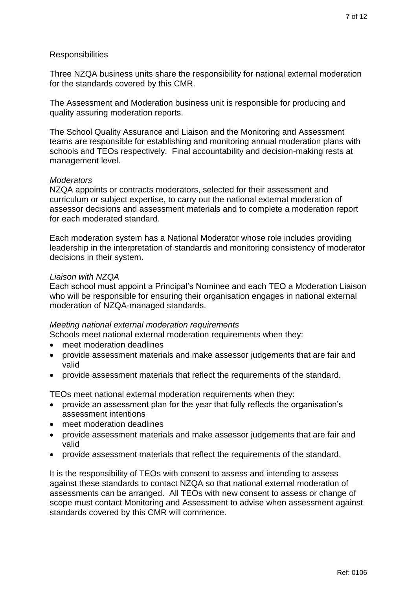## **Responsibilities**

Three NZQA business units share the responsibility for national external moderation for the standards covered by this CMR.

The Assessment and Moderation business unit is responsible for producing and quality assuring moderation reports.

The School Quality Assurance and Liaison and the Monitoring and Assessment teams are responsible for establishing and monitoring annual moderation plans with schools and TEOs respectively. Final accountability and decision-making rests at management level.

### *Moderators*

NZQA appoints or contracts moderators, selected for their assessment and curriculum or subject expertise, to carry out the national external moderation of assessor decisions and assessment materials and to complete a moderation report for each moderated standard.

Each moderation system has a National Moderator whose role includes providing leadership in the interpretation of standards and monitoring consistency of moderator decisions in their system.

### *Liaison with NZQA*

Each school must appoint a Principal's Nominee and each TEO a Moderation Liaison who will be responsible for ensuring their organisation engages in national external moderation of NZQA-managed standards.

### *Meeting national external moderation requirements*

Schools meet national external moderation requirements when they:

- meet moderation deadlines
- provide assessment materials and make assessor judgements that are fair and valid
- provide assessment materials that reflect the requirements of the standard.

TEOs meet national external moderation requirements when they:

- provide an assessment plan for the year that fully reflects the organisation's assessment intentions
- meet moderation deadlines
- provide assessment materials and make assessor judgements that are fair and valid
- provide assessment materials that reflect the requirements of the standard.

It is the responsibility of TEOs with consent to assess and intending to assess against these standards to contact NZQA so that national external moderation of assessments can be arranged. All TEOs with new consent to assess or change of scope must contact Monitoring and Assessment to advise when assessment against standards covered by this CMR will commence.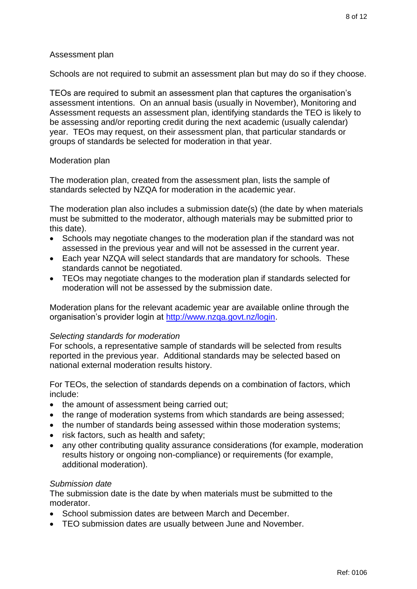## Assessment plan

Schools are not required to submit an assessment plan but may do so if they choose.

TEOs are required to submit an assessment plan that captures the organisation's assessment intentions. On an annual basis (usually in November), Monitoring and Assessment requests an assessment plan, identifying standards the TEO is likely to be assessing and/or reporting credit during the next academic (usually calendar) year. TEOs may request, on their assessment plan, that particular standards or groups of standards be selected for moderation in that year.

### Moderation plan

The moderation plan, created from the assessment plan, lists the sample of standards selected by NZQA for moderation in the academic year.

The moderation plan also includes a submission date(s) (the date by when materials must be submitted to the moderator, although materials may be submitted prior to this date).

- Schools may negotiate changes to the moderation plan if the standard was not assessed in the previous year and will not be assessed in the current year.
- Each year NZQA will select standards that are mandatory for schools. These standards cannot be negotiated.
- TEOs may negotiate changes to the moderation plan if standards selected for moderation will not be assessed by the submission date.

Moderation plans for the relevant academic year are available online through the organisation's provider login at [http://www.nzqa.govt.nz/login.](http://www.nzqa.govt.nz/login)

### *Selecting standards for moderation*

For schools, a representative sample of standards will be selected from results reported in the previous year. Additional standards may be selected based on national external moderation results history.

For TEOs, the selection of standards depends on a combination of factors, which include:

- the amount of assessment being carried out;
- the range of moderation systems from which standards are being assessed;
- the number of standards being assessed within those moderation systems;
- risk factors, such as health and safety;
- any other contributing quality assurance considerations (for example, moderation results history or ongoing non-compliance) or requirements (for example, additional moderation).

# *Submission date*

The submission date is the date by when materials must be submitted to the moderator.

- School submission dates are between March and December.
- TEO submission dates are usually between June and November.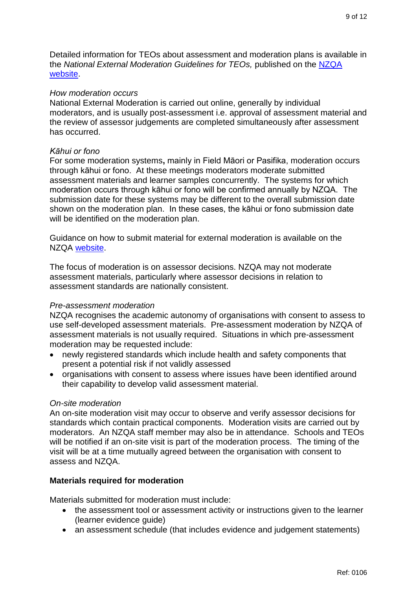Detailed information for TEOs about assessment and moderation plans is available in the *National External Moderation Guidelines for TEOs,* published on the [NZQA](https://www.nzqa.govt.nz/providers-partners/assessment-and-moderation-of-standards/tertiary-moderation/)  [website.](https://www.nzqa.govt.nz/providers-partners/assessment-and-moderation-of-standards/tertiary-moderation/)

## *How moderation occurs*

National External Moderation is carried out online, generally by individual moderators, and is usually post-assessment i.e. approval of assessment material and the review of assessor judgements are completed simultaneously after assessment has occurred.

### *Kāhui or fono*

For some moderation systems**,** mainly in Field Māori or Pasifika, moderation occurs through kāhui or fono. At these meetings moderators moderate submitted assessment materials and learner samples concurrently. The systems for which moderation occurs through kāhui or fono will be confirmed annually by NZQA. The submission date for these systems may be different to the overall submission date shown on the moderation plan. In these cases, the kāhui or fono submission date will be identified on the moderation plan.

Guidance on how to submit material for external moderation is available on the NZQA [website.](https://www.nzqa.govt.nz/providers-partners/assessment-and-moderation-of-standards/)

The focus of moderation is on assessor decisions. NZQA may not moderate assessment materials, particularly where assessor decisions in relation to assessment standards are nationally consistent.

# *Pre-assessment moderation*

NZQA recognises the academic autonomy of organisations with consent to assess to use self-developed assessment materials. Pre-assessment moderation by NZQA of assessment materials is not usually required. Situations in which pre-assessment moderation may be requested include:

- newly registered standards which include health and safety components that present a potential risk if not validly assessed
- organisations with consent to assess where issues have been identified around their capability to develop valid assessment material.

# *On-site moderation*

An on-site moderation visit may occur to observe and verify assessor decisions for standards which contain practical components. Moderation visits are carried out by moderators. An NZQA staff member may also be in attendance. Schools and TEOs will be notified if an on-site visit is part of the moderation process. The timing of the visit will be at a time mutually agreed between the organisation with consent to assess and NZQA.

# **Materials required for moderation**

Materials submitted for moderation must include:

- the assessment tool or assessment activity or instructions given to the learner (learner evidence guide)
- an assessment schedule (that includes evidence and judgement statements)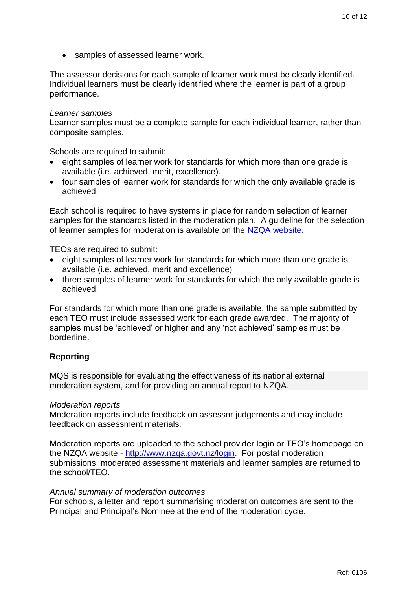• samples of assessed learner work.

The assessor decisions for each sample of learner work must be clearly identified. Individual learners must be clearly identified where the learner is part of a group performance.

#### *Learner samples*

Learner samples must be a complete sample for each individual learner, rather than composite samples.

Schools are required to submit:

- eight samples of learner work for standards for which more than one grade is available (i.e. achieved, merit, excellence).
- four samples of learner work for standards for which the only available grade is achieved.

Each school is required to have systems in place for random selection of learner samples for the standards listed in the moderation plan. A guideline for the selection of learner samples for moderation is available on the [NZQA website.](http://www.nzqa.govt.nz/assets/Providers-and-partners/Assessment-and-moderation/sec-mod-selection-guidelines.pdf)

TEOs are required to submit:

- eight samples of learner work for standards for which more than one grade is available (i.e. achieved, merit and excellence)
- three samples of learner work for standards for which the only available grade is achieved.

For standards for which more than one grade is available, the sample submitted by each TEO must include assessed work for each grade awarded. The majority of samples must be 'achieved' or higher and any 'not achieved' samples must be borderline.

#### **Reporting**

MQS is responsible for evaluating the effectiveness of its national external moderation system, and for providing an annual report to NZQA.

#### *Moderation reports*

Moderation reports include feedback on assessor judgements and may include feedback on assessment materials.

Moderation reports are uploaded to the school provider login or TEO's homepage on the NZQA website - [http://www.nzqa.govt.nz/login.](http://www.nzqa.govt.nz/login) For postal moderation submissions, moderated assessment materials and learner samples are returned to the school/TEO.

#### *Annual summary of moderation outcomes*

For schools, a letter and report summarising moderation outcomes are sent to the Principal and Principal's Nominee at the end of the moderation cycle.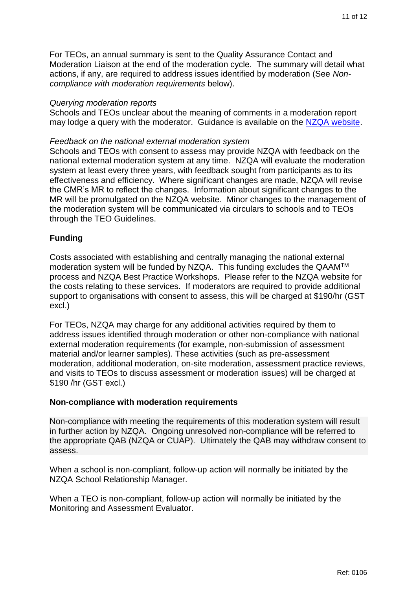For TEOs, an annual summary is sent to the Quality Assurance Contact and Moderation Liaison at the end of the moderation cycle. The summary will detail what actions, if any, are required to address issues identified by moderation (See *Noncompliance with moderation requirements* below).

#### *Querying moderation reports*

Schools and TEOs unclear about the meaning of comments in a moderation report may lodge a query with the moderator. Guidance is available on the [NZQA website.](https://www.nzqa.govt.nz/providers-partners/assessment-and-moderation-of-standards/managing-national-assessment-in-schools/secondary-moderation/external-moderation/appeal-a-moderation-report/)

#### *Feedback on the national external moderation system*

Schools and TEOs with consent to assess may provide NZQA with feedback on the national external moderation system at any time. NZQA will evaluate the moderation system at least every three years, with feedback sought from participants as to its effectiveness and efficiency. Where significant changes are made, NZQA will revise the CMR's MR to reflect the changes. Information about significant changes to the MR will be promulgated on the NZQA website. Minor changes to the management of the moderation system will be communicated via circulars to schools and to TEOs through the TEO Guidelines.

## **Funding**

Costs associated with establishing and centrally managing the national external moderation system will be funded by NZQA. This funding excludes the QAAMTM process and NZQA Best Practice Workshops. Please refer to the NZQA website for the costs relating to these services. If moderators are required to provide additional support to organisations with consent to assess, this will be charged at \$190/hr (GST excl.)

For TEOs, NZQA may charge for any additional activities required by them to address issues identified through moderation or other non-compliance with national external moderation requirements (for example, non-submission of assessment material and/or learner samples). These activities (such as pre-assessment moderation, additional moderation, on-site moderation, assessment practice reviews, and visits to TEOs to discuss assessment or moderation issues) will be charged at \$190 /hr (GST excl.)

### **Non-compliance with moderation requirements**

Non-compliance with meeting the requirements of this moderation system will result in further action by NZQA. Ongoing unresolved non-compliance will be referred to the appropriate QAB (NZQA or CUAP). Ultimately the QAB may withdraw consent to assess.

When a school is non-compliant, follow-up action will normally be initiated by the NZQA School Relationship Manager.

When a TEO is non-compliant, follow-up action will normally be initiated by the Monitoring and Assessment Evaluator.